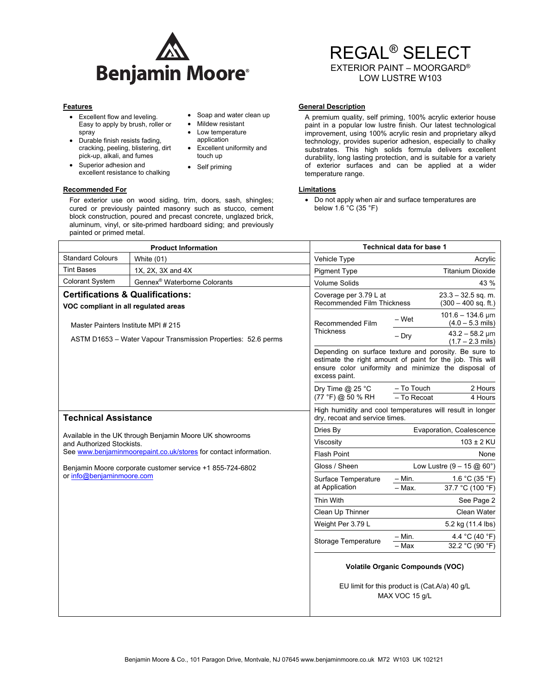

- Excellent flow and leveling. Easy to apply by brush, roller or spray
- Durable finish resists fading, cracking, peeling, blistering, dirt pick-up, alkali, and fumes
- Superior adhesion and excellent resistance to chalking

painted or primed metal.

**Recommended For Limitations 3 Accommended For Limitations 3 Accommended For Accommended For Accommended For Accommended For Accommended For Accommended For Accommended For Accommended For Accommended For Accommended For A** For exterior use on wood siding, trim, doors, sash, shingles; cured or previously painted masonry such as stucco, cement block construction, poured and precast concrete, unglazed brick, aluminum, vinyl, or site-primed hardboard siding; and previously

# • Soap and water clean up

- Mildew resistant • Low temperature
- application Excellent uniformity and touch up
- Self priming

# REGAL® SELECT EXTERIOR PAINT – MOORGARD®

LOW LUSTRE W103

# **Features General Description Contract Description Contract Description Contract Description**

A premium quality, self priming, 100% acrylic exterior house paint in a popular low lustre finish. Our latest technological improvement, using 100% acrylic resin and proprietary alkyd technology, provides superior adhesion, especially to chalky substrates. This high solids formula delivers excellent durability, long lasting protection, and is suitable for a variety of exterior surfaces and can be applied at a wider temperature range.

 Do not apply when air and surface temperatures are below 1.6 °C (35 °F)

| <b>Product Information</b>                                                                                                                               |                                          | <b>Technical data for base 1</b>                                                                                                                                                            |                                               |                                                      |
|----------------------------------------------------------------------------------------------------------------------------------------------------------|------------------------------------------|---------------------------------------------------------------------------------------------------------------------------------------------------------------------------------------------|-----------------------------------------------|------------------------------------------------------|
| <b>Standard Colours</b>                                                                                                                                  | White $(01)$                             | Vehicle Type                                                                                                                                                                                |                                               | Acrylic                                              |
| <b>Tint Bases</b>                                                                                                                                        | 1X, 2X, 3X and 4X                        | <b>Pigment Type</b>                                                                                                                                                                         |                                               | <b>Titanium Dioxide</b>                              |
| <b>Colorant System</b>                                                                                                                                   | Gennex <sup>®</sup> Waterborne Colorants | <b>Volume Solids</b>                                                                                                                                                                        |                                               | 43 %                                                 |
| <b>Certifications &amp; Qualifications:</b><br>VOC compliant in all regulated areas                                                                      |                                          | Coverage per 3.79 L at<br><b>Recommended Film Thickness</b>                                                                                                                                 | $23.3 - 32.5$ sq. m.<br>$(300 - 400$ sq. ft.) |                                                      |
| Master Painters Institute MPI # 215<br>ASTM D1653 - Water Vapour Transmission Properties: 52.6 perms                                                     |                                          | Recommended Film<br><b>Thickness</b>                                                                                                                                                        | – Wet                                         | $101.6 - 134.6 \,\text{\mu m}$<br>$(4.0 - 5.3$ mils) |
|                                                                                                                                                          |                                          |                                                                                                                                                                                             | $-$ Dry                                       | $43.2 - 58.2$ µm<br>$(1.7 - 2.3$ mils)               |
|                                                                                                                                                          |                                          | Depending on surface texture and porosity. Be sure to<br>estimate the right amount of paint for the job. This will<br>ensure color uniformity and minimize the disposal of<br>excess paint. |                                               |                                                      |
|                                                                                                                                                          |                                          | Dry Time @ 25 °C<br>(77 °F) @ 50 % RH                                                                                                                                                       | - To Touch<br>- To Recoat                     | 2 Hours<br>4 Hours                                   |
| <b>Technical Assistance</b>                                                                                                                              |                                          | High humidity and cool temperatures will result in longer<br>dry, recoat and service times.                                                                                                 |                                               |                                                      |
| Available in the UK through Benjamin Moore UK showrooms<br>and Authorized Stockists.<br>See www.benjaminmoorepaint.co.uk/stores for contact information. |                                          | Dries By                                                                                                                                                                                    | Evaporation, Coalescence                      |                                                      |
|                                                                                                                                                          |                                          | Viscosity                                                                                                                                                                                   | $103 \pm 2$ KU                                |                                                      |
|                                                                                                                                                          |                                          | <b>Flash Point</b>                                                                                                                                                                          |                                               | None                                                 |
| Benjamin Moore corporate customer service +1 855-724-6802<br>or info@benjaminmoore.com                                                                   |                                          | Gloss / Sheen                                                                                                                                                                               | Low Lustre $(9 - 15 \text{ @ } 60^{\circ})$   |                                                      |
|                                                                                                                                                          |                                          | Surface Temperature<br>at Application                                                                                                                                                       | $-$ Min.<br>$-$ Max.                          | 1.6 °C (35 °F)<br>37.7 °C (100 °F)                   |
|                                                                                                                                                          |                                          | Thin With                                                                                                                                                                                   |                                               | See Page 2                                           |
|                                                                                                                                                          |                                          | Clean Up Thinner                                                                                                                                                                            |                                               | Clean Water                                          |
|                                                                                                                                                          |                                          | Weight Per 3.79 L                                                                                                                                                                           |                                               | 5.2 kg (11.4 lbs)                                    |
|                                                                                                                                                          |                                          | Storage Temperature                                                                                                                                                                         | $-$ Min.<br>- Max                             | 4.4 °C (40 °F)<br>32.2 °C (90 °F)                    |
|                                                                                                                                                          |                                          | <b>Volatile Organic Compounds (VOC)</b><br>EU limit for this product is (Cat.A/a) 40 g/L<br>MAX VOC 15 g/L                                                                                  |                                               |                                                      |